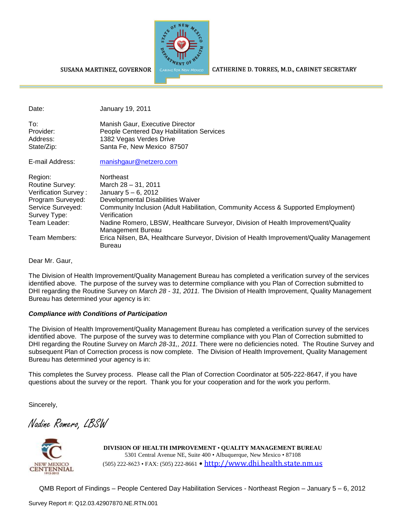

## SUSANA MARTINEZ, GOVERNOR

CATHERINE D. TORRES, M.D., CABINET SECRETARY

| Date:                                                                                                                        | January 19, 2011                                                                                                                                                                                                                                                                                              |
|------------------------------------------------------------------------------------------------------------------------------|---------------------------------------------------------------------------------------------------------------------------------------------------------------------------------------------------------------------------------------------------------------------------------------------------------------|
| To:<br>Provider:<br>Address:<br>State/Zip:                                                                                   | Manish Gaur, Executive Director<br>People Centered Day Habilitation Services<br>1382 Vegas Verdes Drive<br>Santa Fe, New Mexico 87507                                                                                                                                                                         |
| E-mail Address:                                                                                                              | manishgaur@netzero.com                                                                                                                                                                                                                                                                                        |
| Region:<br>Routine Survey:<br>Verification Survey:<br>Program Surveyed:<br>Service Surveyed:<br>Survey Type:<br>Team Leader: | Northeast<br>March 28 - 31, 2011<br>January $5 - 6$ , 2012<br>Developmental Disabilities Waiver<br>Community Inclusion (Adult Habilitation, Community Access & Supported Employment)<br>Verification<br>Nadine Romero, LBSW, Healthcare Surveyor, Division of Health Improvement/Quality<br>Management Bureau |
| Team Members:                                                                                                                | Erica Nilsen, BA, Healthcare Surveyor, Division of Health Improvement/Quality Management                                                                                                                                                                                                                      |

Dear Mr. Gaur,

The Division of Health Improvement/Quality Management Bureau has completed a verification survey of the services identified above. The purpose of the survey was to determine compliance with you Plan of Correction submitted to DHI regarding the Routine Survey on *March 28 - 31, 2011.* The Division of Health Improvement, Quality Management Bureau has determined your agency is in:

## *Compliance with Conditions of Participation*

Bureau

The Division of Health Improvement/Quality Management Bureau has completed a verification survey of the services identified above. The purpose of the survey was to determine compliance with you Plan of Correction submitted to DHI regarding the Routine Survey on *March 28-31,, 2011.* There were no deficiencies noted. The Routine Survey and subsequent Plan of Correction process is now complete. The Division of Health Improvement, Quality Management Bureau has determined your agency is in:

This completes the Survey process. Please call the Plan of Correction Coordinator at 505-222-8647, if you have questions about the survey or the report. Thank you for your cooperation and for the work you perform.

Sincerely,

Nadine Romero, LBSW



**DIVISION OF HEALTH IMPROVEMENT** • **QUALITY MANAGEMENT BUREAU** 5301 Central Avenue NE, Suite 400 • Albuquerque, New Mexico • 87108 (505) 222-8623 • FAX: (505) 222-8661 • http://www.dhi.health.state.nm.us

QMB Report of Findings – People Centered Day Habilitation Services - Northeast Region – January 5 – 6, 2012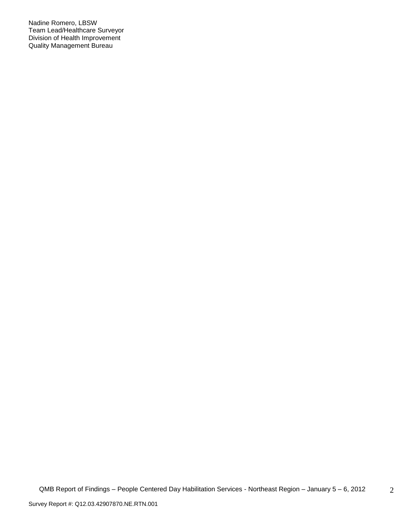Nadine Romero, LBSW Team Lead/Healthcare Surveyor Division of Health Improvement Quality Management Bureau

2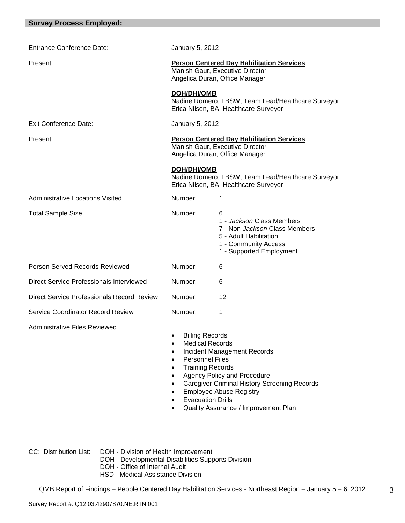| <b>Survey Process Employed:</b>            |                                                                                                                                                             |                                                                                                                                                                                                    |  |  |  |
|--------------------------------------------|-------------------------------------------------------------------------------------------------------------------------------------------------------------|----------------------------------------------------------------------------------------------------------------------------------------------------------------------------------------------------|--|--|--|
|                                            |                                                                                                                                                             |                                                                                                                                                                                                    |  |  |  |
| <b>Entrance Conference Date:</b>           | January 5, 2012                                                                                                                                             |                                                                                                                                                                                                    |  |  |  |
| Present:                                   | <b>Person Centered Day Habilitation Services</b><br>Manish Gaur, Executive Director<br>Angelica Duran, Office Manager                                       |                                                                                                                                                                                                    |  |  |  |
|                                            | <b>DOH/DHI/QMB</b>                                                                                                                                          | Nadine Romero, LBSW, Team Lead/Healthcare Surveyor<br>Erica Nilsen, BA, Healthcare Surveyor                                                                                                        |  |  |  |
| <b>Exit Conference Date:</b>               | January 5, 2012                                                                                                                                             |                                                                                                                                                                                                    |  |  |  |
| Present:                                   | <b>Person Centered Day Habilitation Services</b><br>Manish Gaur, Executive Director<br>Angelica Duran, Office Manager                                       |                                                                                                                                                                                                    |  |  |  |
|                                            | <b>DOH/DHI/QMB</b>                                                                                                                                          | Nadine Romero, LBSW, Team Lead/Healthcare Surveyor<br>Erica Nilsen, BA, Healthcare Surveyor                                                                                                        |  |  |  |
| <b>Administrative Locations Visited</b>    | Number:                                                                                                                                                     | 1                                                                                                                                                                                                  |  |  |  |
| <b>Total Sample Size</b>                   | Number:                                                                                                                                                     | 6<br>1 - Jackson Class Members<br>7 - Non-Jackson Class Members<br>5 - Adult Habilitation<br>1 - Community Access<br>1 - Supported Employment                                                      |  |  |  |
| Person Served Records Reviewed             | Number:                                                                                                                                                     | 6                                                                                                                                                                                                  |  |  |  |
| Direct Service Professionals Interviewed   | Number:                                                                                                                                                     | 6                                                                                                                                                                                                  |  |  |  |
| Direct Service Professionals Record Review | Number:                                                                                                                                                     | 12                                                                                                                                                                                                 |  |  |  |
| <b>Service Coordinator Record Review</b>   | Number:                                                                                                                                                     | 1                                                                                                                                                                                                  |  |  |  |
| <b>Administrative Files Reviewed</b>       | <b>Billing Records</b><br>$\bullet$<br><b>Medical Records</b><br><b>Personnel Files</b><br><b>Training Records</b><br>$\bullet$<br><b>Evacuation Drills</b> | <b>Incident Management Records</b><br>Agency Policy and Procedure<br><b>Caregiver Criminal History Screening Records</b><br><b>Employee Abuse Registry</b><br>Quality Assurance / Improvement Plan |  |  |  |

- CC: Distribution List: DOH Division of Health Improvement
	- DOH Developmental Disabilities Supports Division
	- DOH Office of Internal Audit
	- HSD Medical Assistance Division

QMB Report of Findings – People Centered Day Habilitation Services - Northeast Region – January 5 – 6, 2012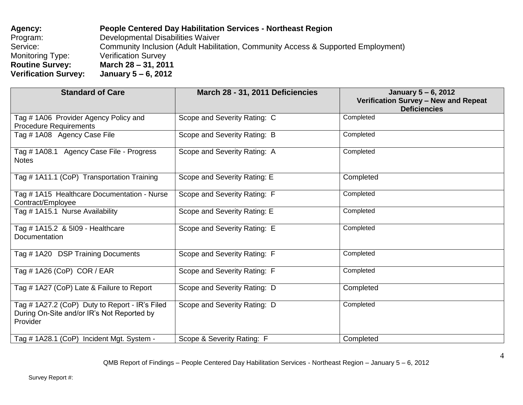| Agency:                     | <b>People Centered Day Habilitation Services - Northeast Region</b>               |
|-----------------------------|-----------------------------------------------------------------------------------|
| Program:                    | Developmental Disabilities Waiver                                                 |
| Service:                    | Community Inclusion (Adult Habilitation, Community Access & Supported Employment) |
| Monitoring Type:            | <b>Verification Survey</b>                                                        |
| <b>Routine Survey:</b>      | March 28 – 31, 2011                                                               |
| <b>Verification Survey:</b> | January 5 – 6, 2012                                                               |

| <b>Standard of Care</b>                                                                                  | March 28 - 31, 2011 Deficiencies | January 5 – 6, 2012<br><b>Verification Survey - New and Repeat</b><br><b>Deficiencies</b> |
|----------------------------------------------------------------------------------------------------------|----------------------------------|-------------------------------------------------------------------------------------------|
| Tag # 1A06 Provider Agency Policy and<br><b>Procedure Requirements</b>                                   | Scope and Severity Rating: C     | Completed                                                                                 |
| Tag # 1A08 Agency Case File                                                                              | Scope and Severity Rating: B     | Completed                                                                                 |
| Tag # 1A08.1 Agency Case File - Progress<br><b>Notes</b>                                                 | Scope and Severity Rating: A     | Completed                                                                                 |
| Tag # 1A11.1 (CoP) Transportation Training                                                               | Scope and Severity Rating: E     | Completed                                                                                 |
| Tag # 1A15 Healthcare Documentation - Nurse<br>Contract/Employee                                         | Scope and Severity Rating: F     | Completed                                                                                 |
| Tag # 1A15.1 Nurse Availability                                                                          | Scope and Severity Rating: E     | Completed                                                                                 |
| Tag # 1A15.2 & 5109 - Healthcare<br>Documentation                                                        | Scope and Severity Rating: E     | Completed                                                                                 |
| Tag #1A20 DSP Training Documents                                                                         | Scope and Severity Rating: F     | Completed                                                                                 |
| Tag # 1A26 (CoP) COR / EAR                                                                               | Scope and Severity Rating: F     | Completed                                                                                 |
| Tag # 1A27 (CoP) Late & Failure to Report                                                                | Scope and Severity Rating: D     | Completed                                                                                 |
| Tag # 1A27.2 (CoP) Duty to Report - IR's Filed<br>During On-Site and/or IR's Not Reported by<br>Provider | Scope and Severity Rating: D     | Completed                                                                                 |
| Tag # 1A28.1 (CoP) Incident Mgt. System -                                                                | Scope & Severity Rating: F       | Completed                                                                                 |

QMB Report of Findings – People Centered Day Habilitation Services - Northeast Region – January 5 – 6, 2012